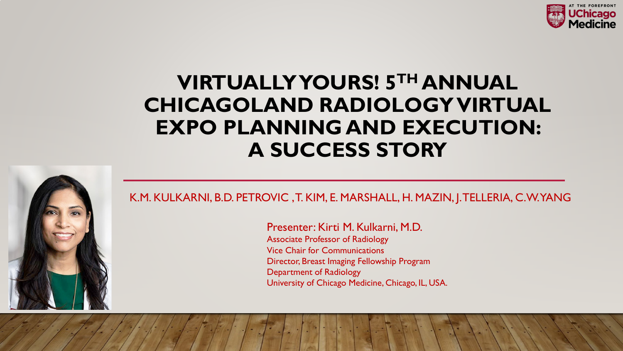

## **VIRTUALLY YOURS! 5TH ANNUAL CHICAGOLAND RADIOLOGY VIRTUAL EXPO PLANNING AND EXECUTION: A SUCCESS STORY**



K.M. KULKARNI, B.D. PETROVIC , T. KIM, E. MARSHALL, H. MAZIN, J. TELLERIA, C.W. YANG

Presenter: Kirti M. Kulkarni, M.D. Associate Professor of Radiology Vice Chair for Communications Director, Breast Imaging Fellowship Program Department of Radiology University of Chicago Medicine, Chicago, IL, USA.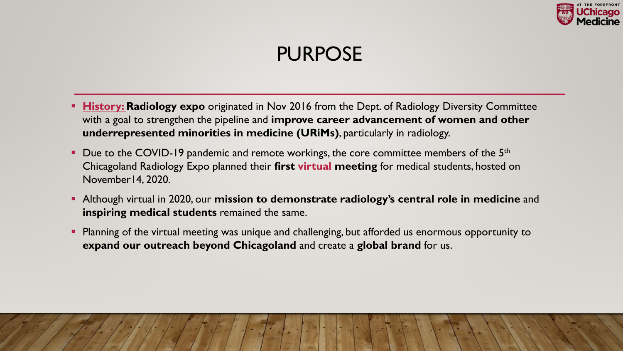

## PURPOSE

- **History: Radiology expo** originated in Nov 2016 from the Dept. of Radiology Diversity Committee with a goal to strengthen the pipeline and **improve career advancement of women and other underrepresented minorities in medicine (URiMs)**, particularly in radiology.
- Due to the COVID-19 pandemic and remote workings, the core committee members of the  $5<sup>th</sup>$ Chicagoland Radiology Expo planned their **first virtual meeting** for medical students, hosted on November14, 2020.
- Although virtual in 2020, our **mission to demonstrate radiology's central role in medicine** and **inspiring medical students** remained the same.
- **Planning of the virtual meeting was unique and challenging, but afforded us enormous opportunity to expand our outreach beyond Chicagoland** and create a **global brand** for us.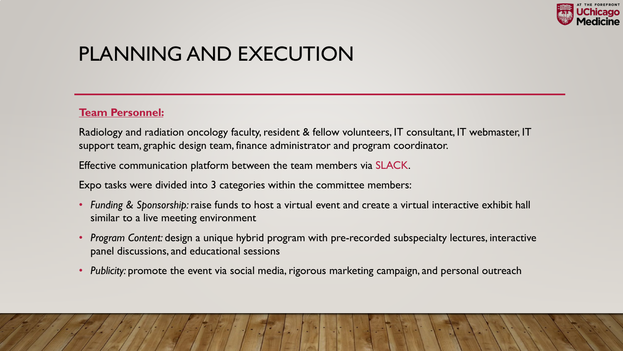

## PLANNING AND EXECUTION

### **Team Personnel:**

Radiology and radiation oncology faculty, resident & fellow volunteers, IT consultant, IT webmaster, IT support team, graphic design team, finance administrator and program coordinator.

Effective communication platform between the team members via SLACK.

Expo tasks were divided into 3 categories within the committee members:

- *Funding & Sponsorship:* raise funds to host a virtual event and create a virtual interactive exhibit hall similar to a live meeting environment
- *Program Content:* design a unique hybrid program with pre-recorded subspecialty lectures, interactive panel discussions, and educational sessions
- *Publicity:* promote the event via social media, rigorous marketing campaign, and personal outreach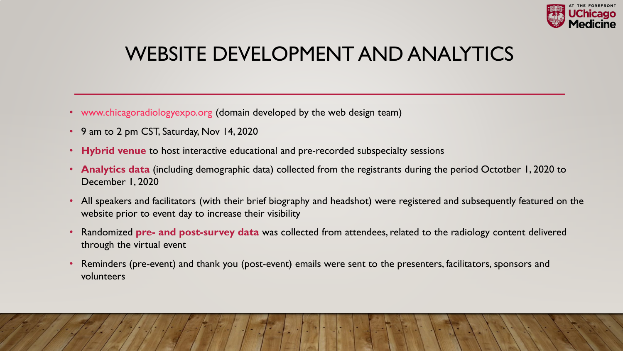

## WEBSITE DEVELOPMENT AND ANALYTICS

- [www.chicagoradiologyexpo.org](http://www.chicagoradiologyexpo.org/) (domain developed by the web design team)
- 9 am to 2 pm CST, Saturday, Nov 14, 2020
- **Hybrid venue** to host interactive educational and pre-recorded subspecialty sessions
- **Analytics data** (including demographic data) collected from the registrants during the period Octotber 1, 2020 to December 1, 2020
- All speakers and facilitators (with their brief biography and headshot) were registered and subsequently featured on the website prior to event day to increase their visibility
- Randomized **pre- and post-survey data** was collected from attendees, related to the radiology content delivered through the virtual event
- Reminders (pre-event) and thank you (post-event) emails were sent to the presenters, facilitators, sponsors and volunteers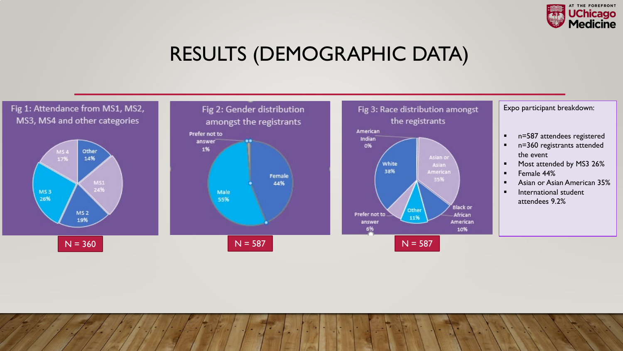

## RESULTS (DEMOGRAPHIC DATA)

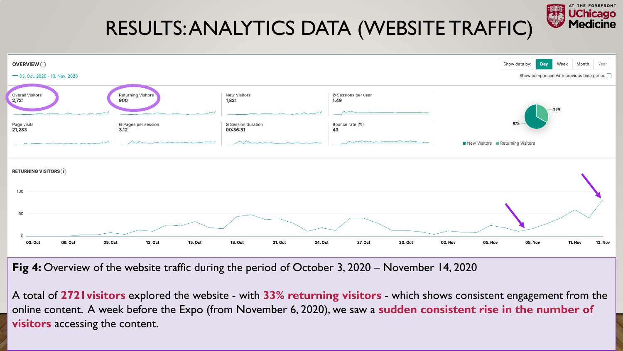

Fig 4: Overview of the website traffic during the period of October 3, 2020 – November 14, 2020

A total of **2721visitors** explored the website - with **33% returning visitors** - which shows consistent engagement from the online content. A week before the Expo (from November 6, 2020), we saw a **sudden consistent rise in the number of visitors** accessing the content.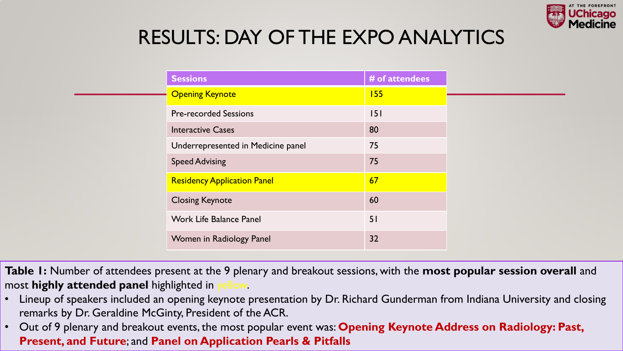

## RESULTS: DAY OF THE EXPO ANALYTICS

|  | <b>Sessions</b>                    | # of attendees |
|--|------------------------------------|----------------|
|  | <b>Opening Keynote</b>             | 155            |
|  | <b>Pre-recorded Sessions</b>       | 151            |
|  | <b>Interactive Cases</b>           | 80             |
|  | Underrepresented in Medicine panel | 75             |
|  | <b>Speed Advising</b>              | 75             |
|  | <b>Residency Application Panel</b> | 67             |
|  | <b>Closing Keynote</b>             | 60             |
|  | <b>Work Life Balance Panel</b>     | 51             |
|  | Women in Radiology Panel           | 32             |

**Table 1:** Number of attendees present at the 9 plenary and breakout sessions, with the **most popular session overall** and most **highly attended panel** highlighted in yellow.

- Lineup of speakers included an opening keynote presentation by Dr. Richard Gunderman from Indiana University and closing remarks by Dr. Geraldine McGinty, President of the ACR.
- Out of 9 plenary and breakout events, the most popular event was: **Opening Keynote Address on Radiology: Past, Present, and Future**; and **Panel on Application Pearls & Pitfalls**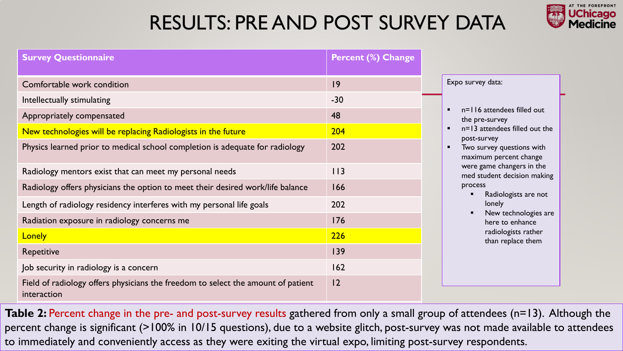## RESULTS: PRE AND POST SURVEY DATA



| <b>Survey Questionnaire</b>                                                                                                                                                                                       | <b>Percent (%) Change</b> |                                                                                                                                         |
|-------------------------------------------------------------------------------------------------------------------------------------------------------------------------------------------------------------------|---------------------------|-----------------------------------------------------------------------------------------------------------------------------------------|
| Comfortable work condition<br>Intellectually stimulating<br>Appropriately compensated                                                                                                                             | 9<br>$-30$<br>48          | Expo survey data:<br>n=116 attendees filled out<br>$\blacksquare$                                                                       |
| New technologies will be replacing Radiologists in the future<br>Physics learned prior to medical school completion is adequate for radiology                                                                     | 204<br>202                | the pre-survey<br>n=13 attendees filled out the<br>post-survey<br>Two survey questions with<br>$\blacksquare$<br>maximum percent change |
| Radiology mentors exist that can meet my personal needs<br>Radiology offers physicians the option to meet their desired work/life balance<br>Length of radiology residency interferes with my personal life goals | 113<br>166<br>202         | were game changers in the<br>med student decision making<br>process<br>Radiologists are not<br>lonely<br>New technologies are           |
| Radiation exposure in radiology concerns me<br><b>Lonely</b><br><b>Repetitive</b><br>Job security in radiology is a concern                                                                                       | 176<br>226<br>139<br>162  | here to enhance<br>radiologists rather<br>than replace them                                                                             |
| Field of radiology offers physicians the freedom to select the amount of patient<br>interaction                                                                                                                   | 12                        |                                                                                                                                         |

Table 2: Percent change in the pre- and post-survey results gathered from only a small group of attendees (n=13). Although the percent change is significant (>100% in 10/15 questions), due to a website glitch, post-survey was not made available to attendees to immediately and conveniently access as they were exiting the virtual expo, limiting post-survey respondents.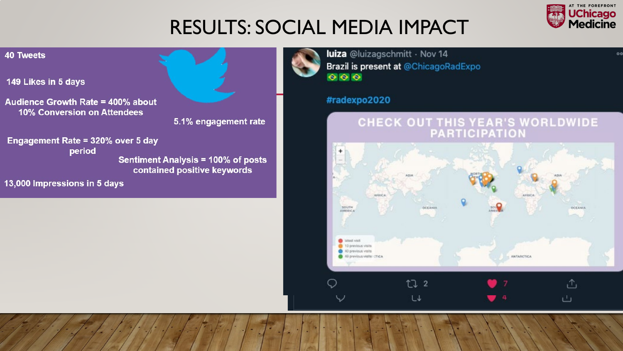

OC

## RESULTS: SOCIAL MEDIA IMPACT

#### **40 Tweets**

149 Likes in 5 days

Audience Growth Rate = 400% about **10% Conversion on Attendees** 



5.1% engagement rate

Engagement Rate = 320% over 5 day period **Sentiment Analysis = 100% of posts** contained positive keywords

13,000 Impressions in 5 days

luiza @luizagschmitt · Nov 14 Brazil is present at @ChicagoRadExpo  $\bullet$  $\bullet$  $\bullet$ 

#### #radexpo2020

# CHECK OUT THIS YEAR'S WORLDWIDE<br>PARTICIPATION